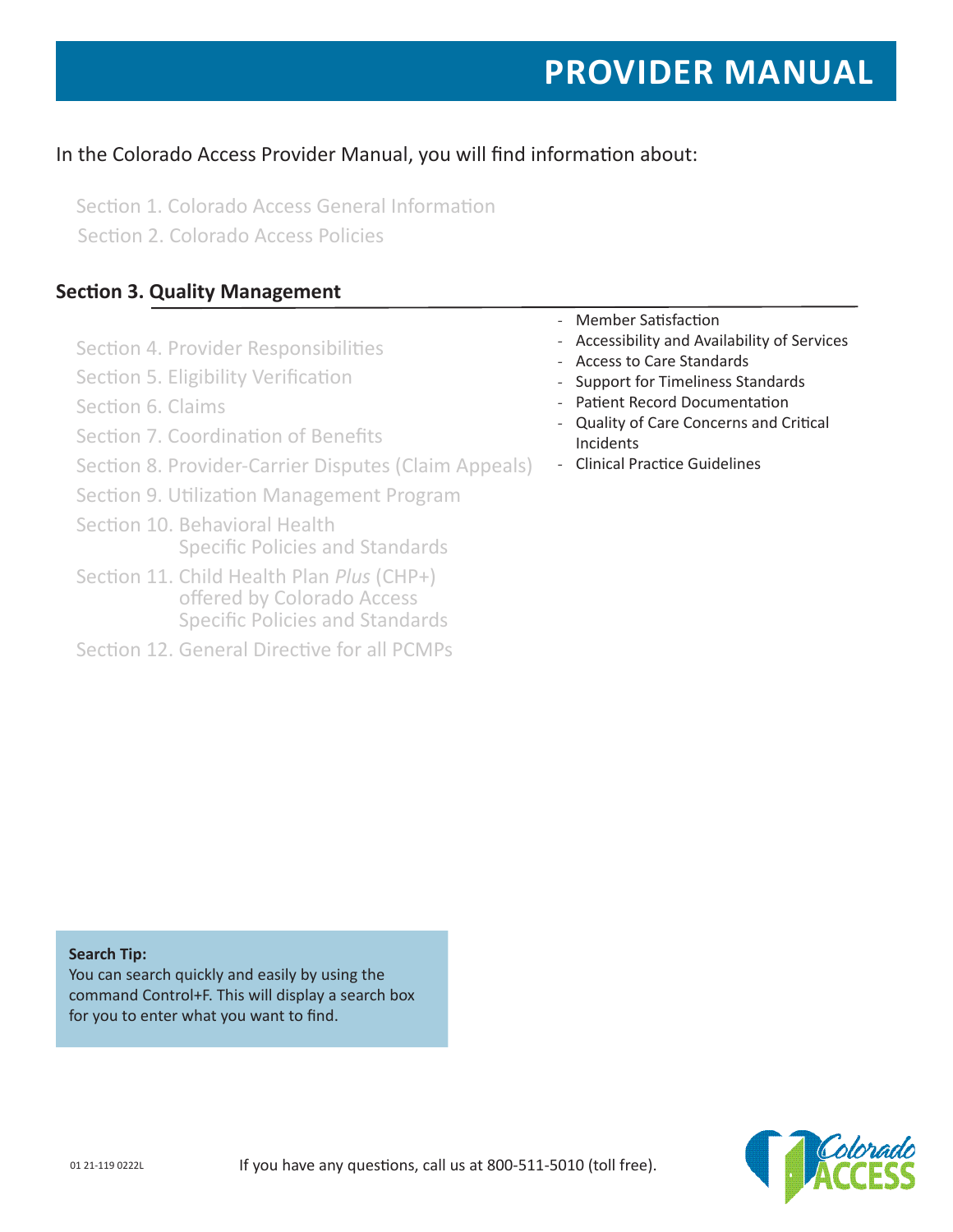# **PROVIDER MANUAL**

# In the Colorado Access Provider Manual, you will find information about:

Section 1. Colorado Access General Information Section 2. Colorado Access Policies

# **Section 3. Quality Management**

- Section 4. Provider Responsibilities
- Section 5. Eligibility Verification
- Section 6. Claims
- Section 7. Coordination of Benefits
- Section 8. Provider-Carrier Disputes (Claim Appeals)
- Section 9. Utilization Management Program
- Section 10. Behavioral Health Specific Policies and Standards
- Section 11. Child Health Plan *Plus* (CHP+) offered by Colorado Access Specific Policies and Standards
- Section 12. General Directive for all PCMPs
- Member Satisfaction
- Accessibility and Availability of Services
- Access to Care Standards
- Support for Timeliness Standards
- Patient Record Documentation
- Quality of Care Concerns and Critical Incidents
- Clinical Practice Guidelines

**Search Tip:**

You can search quickly and easily by using the command Control+F. This will display a search box for you to enter what you want to find.

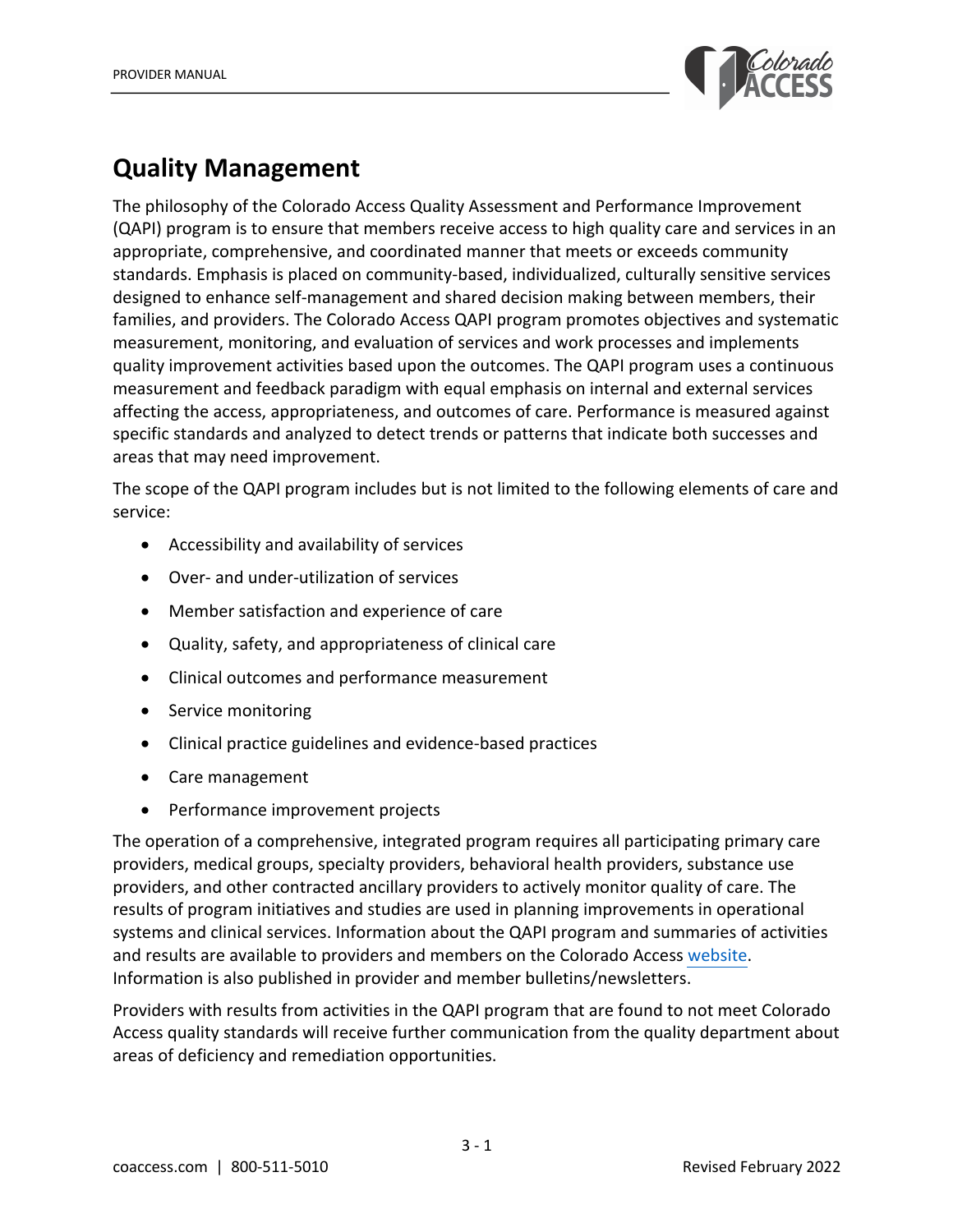

# **Quality Management**

The philosophy of the Colorado Access Quality Assessment and Performance Improvement (QAPI) program is to ensure that members receive access to high quality care and services in an appropriate, comprehensive, and coordinated manner that meets or exceeds community standards. Emphasis is placed on community-based, individualized, culturally sensitive services designed to enhance self-management and shared decision making between members, their families, and providers. The Colorado Access QAPI program promotes objectives and systematic measurement, monitoring, and evaluation of services and work processes and implements quality improvement activities based upon the outcomes. The QAPI program uses a continuous measurement and feedback paradigm with equal emphasis on internal and external services affecting the access, appropriateness, and outcomes of care. Performance is measured against specific standards and analyzed to detect trends or patterns that indicate both successes and areas that may need improvement.

The scope of the QAPI program includes but is not limited to the following elements of care and service:

- Accessibility and availability of services
- Over- and under-utilization of services
- Member satisfaction and experience of care
- Quality, safety, and appropriateness of clinical care
- Clinical outcomes and performance measurement
- Service monitoring
- Clinical practice guidelines and evidence-based practices
- Care management
- Performance improvement projects

The operation of a comprehensive, integrated program requires all participating primary care providers, medical groups, specialty providers, behavioral health providers, substance use providers, and other contracted ancillary providers to actively monitor quality of care. The results of program initiatives and studies are used in planning improvements in operational systems and clinical services. Information about the QAPI program and summaries of activities and results are available to providers and members on the Colorado Access [website](https://www.coaccess.com/providers/resources/quality/). Information is also published in provider and member bulletins/newsletters.

Providers with results from activities in the QAPI program that are found to not meet Colorado Access quality standards will receive further communication from the quality department about areas of deficiency and remediation opportunities.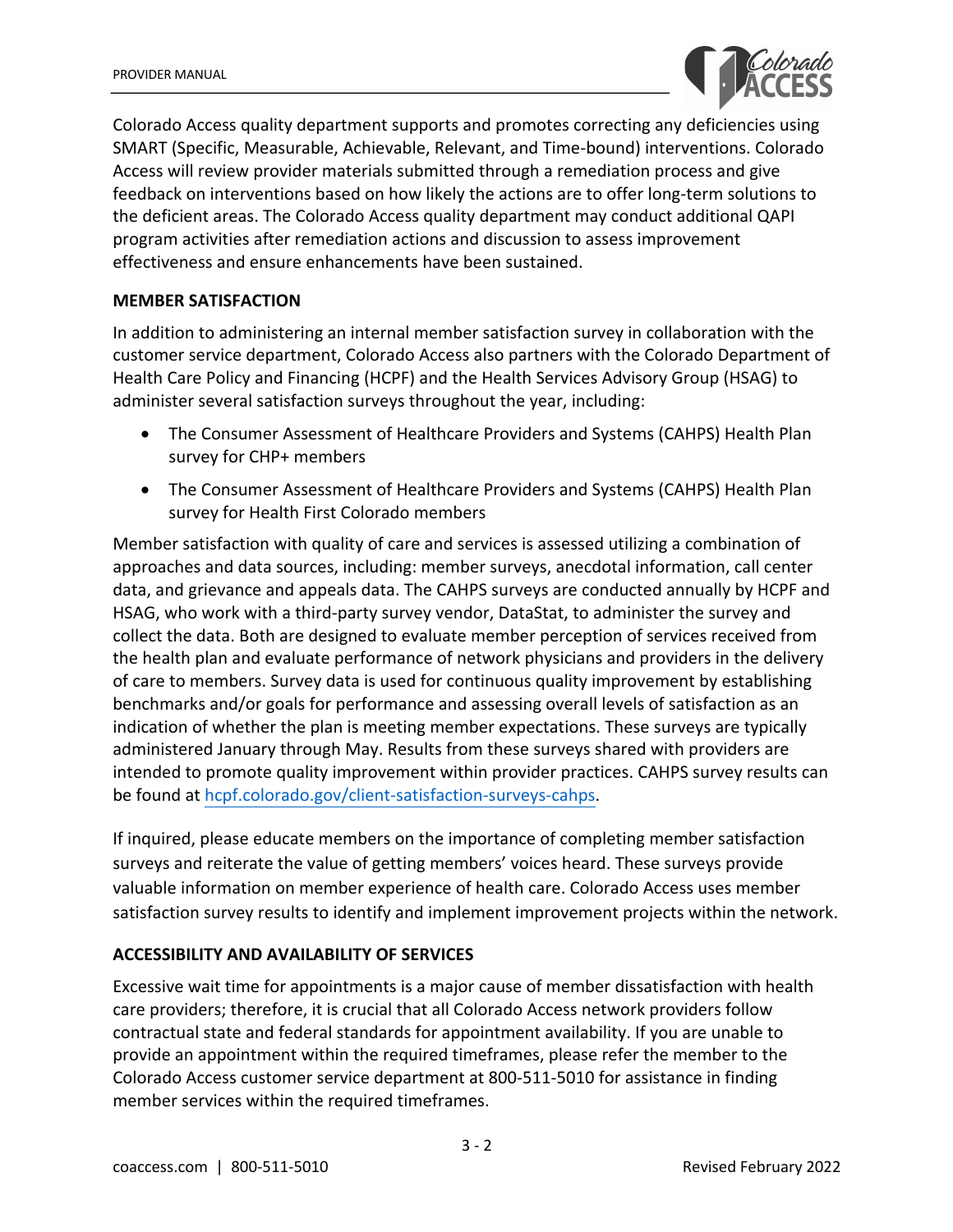

Colorado Access quality department supports and promotes correcting any deficiencies using SMART (Specific, Measurable, Achievable, Relevant, and Time-bound) interventions. Colorado Access will review provider materials submitted through a remediation process and give feedback on interventions based on how likely the actions are to offer long-term solutions to the deficient areas. The Colorado Access quality department may conduct additional QAPI program activities after remediation actions and discussion to assess improvement effectiveness and ensure enhancements have been sustained.

#### **MEMBER SATISFACTION**

In addition to administering an internal member satisfaction survey in collaboration with the customer service department, Colorado Access also partners with the Colorado Department of Health Care Policy and Financing (HCPF) and the Health Services Advisory Group (HSAG) to administer several satisfaction surveys throughout the year, including:

- The Consumer Assessment of Healthcare Providers and Systems (CAHPS) Health Plan survey for CHP+ members
- The Consumer Assessment of Healthcare Providers and Systems (CAHPS) Health Plan survey for Health First Colorado members

Member satisfaction with quality of care and services is assessed utilizing a combination of approaches and data sources, including: member surveys, anecdotal information, call center data, and grievance and appeals data. The CAHPS surveys are conducted annually by HCPF and HSAG, who work with a third-party survey vendor, DataStat, to administer the survey and collect the data. Both are designed to evaluate member perception of services received from the health plan and evaluate performance of network physicians and providers in the delivery of care to members. Survey data is used for continuous quality improvement by establishing benchmarks and/or goals for performance and assessing overall levels of satisfaction as an indication of whether the plan is meeting member expectations. These surveys are typically administered January through May. Results from these surveys shared with providers are intended to promote quality improvement within provider practices. CAHPS survey results can be found at [hcpf.colorado.gov/client-satisfaction-surveys-cahps.](https://hcpf.colorado.gov/client-satisfaction-surveys-cahps)

If inquired, please educate members on the importance of completing member satisfaction surveys and reiterate the value of getting members' voices heard. These surveys provide valuable information on member experience of health care. Colorado Access uses member satisfaction survey results to identify and implement improvement projects within the network.

#### **ACCESSIBILITY AND AVAILABILITY OF SERVICES**

Excessive wait time for appointments is a major cause of member dissatisfaction with health care providers; therefore, it is crucial that all Colorado Access network providers follow contractual state and federal standards for appointment availability. If you are unable to provide an appointment within the required timeframes, please refer the member to the Colorado Access customer service department at 800-511-5010 for assistance in finding member services within the required timeframes.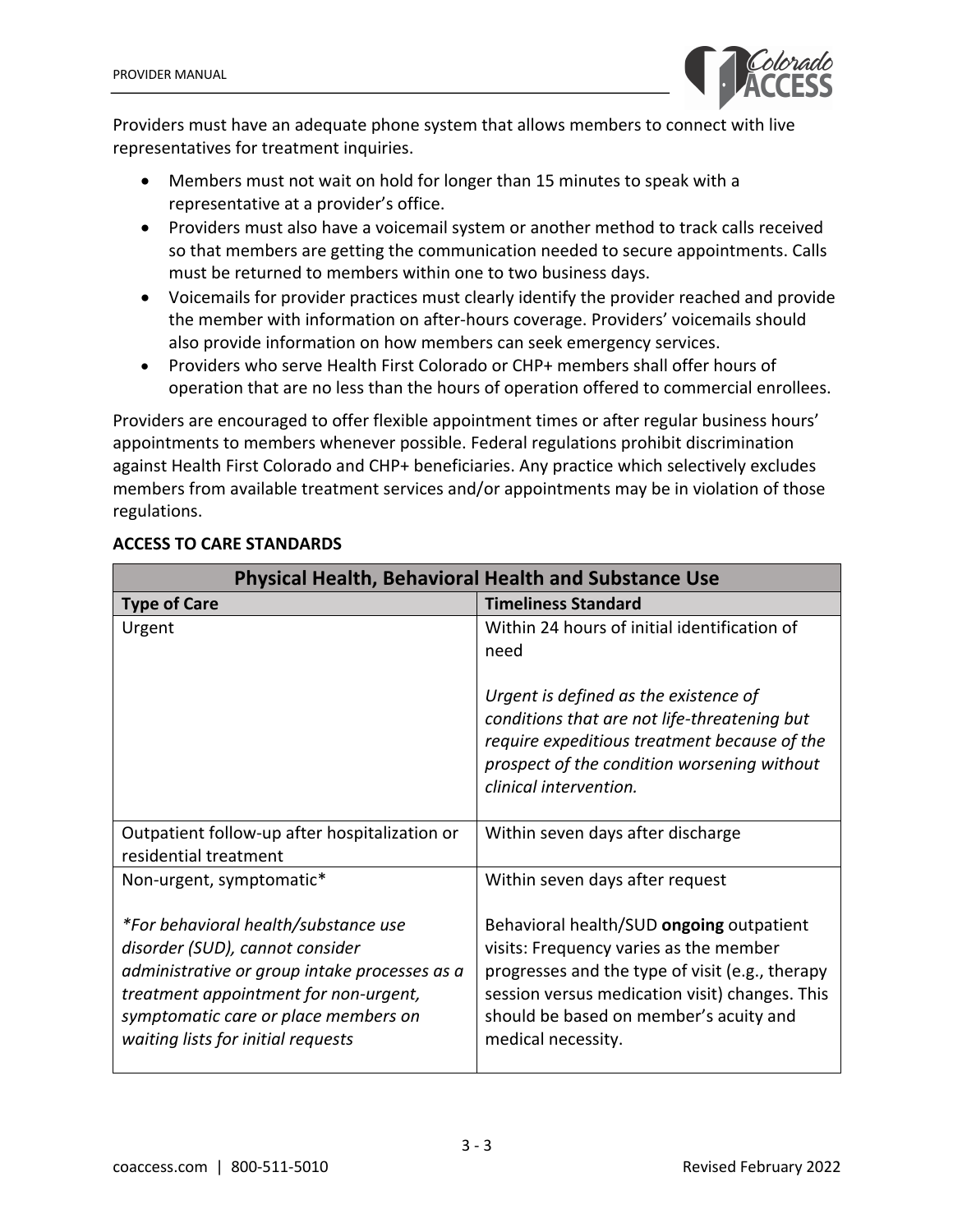

Providers must have an adequate phone system that allows members to connect with live representatives for treatment inquiries.

- Members must not wait on hold for longer than 15 minutes to speak with a representative at a provider's office.
- Providers must also have a voicemail system or another method to track calls received so that members are getting the communication needed to secure appointments. Calls must be returned to members within one to two business days.
- Voicemails for provider practices must clearly identify the provider reached and provide the member with information on after-hours coverage. Providers' voicemails should also provide information on how members can seek emergency services.
- Providers who serve Health First Colorado or CHP+ members shall offer hours of operation that are no less than the hours of operation offered to commercial enrollees.

Providers are encouraged to offer flexible appointment times or after regular business hours' appointments to members whenever possible. Federal regulations prohibit discrimination against Health First Colorado and CHP+ beneficiaries. Any practice which selectively excludes members from available treatment services and/or appointments may be in violation of those regulations.

| <b>Physical Health, Behavioral Health and Substance Use</b>                                                                                                                                                                                     |                                                                                                                                                                                                                                                         |
|-------------------------------------------------------------------------------------------------------------------------------------------------------------------------------------------------------------------------------------------------|---------------------------------------------------------------------------------------------------------------------------------------------------------------------------------------------------------------------------------------------------------|
| <b>Type of Care</b>                                                                                                                                                                                                                             | <b>Timeliness Standard</b>                                                                                                                                                                                                                              |
| Urgent                                                                                                                                                                                                                                          | Within 24 hours of initial identification of<br>need                                                                                                                                                                                                    |
|                                                                                                                                                                                                                                                 | Urgent is defined as the existence of<br>conditions that are not life-threatening but<br>require expeditious treatment because of the<br>prospect of the condition worsening without<br>clinical intervention.                                          |
| Outpatient follow-up after hospitalization or<br>residential treatment                                                                                                                                                                          | Within seven days after discharge                                                                                                                                                                                                                       |
| Non-urgent, symptomatic*                                                                                                                                                                                                                        | Within seven days after request                                                                                                                                                                                                                         |
| *For behavioral health/substance use<br>disorder (SUD), cannot consider<br>administrative or group intake processes as a<br>treatment appointment for non-urgent,<br>symptomatic care or place members on<br>waiting lists for initial requests | Behavioral health/SUD ongoing outpatient<br>visits: Frequency varies as the member<br>progresses and the type of visit (e.g., therapy<br>session versus medication visit) changes. This<br>should be based on member's acuity and<br>medical necessity. |

### **ACCESS TO CARE STANDARDS**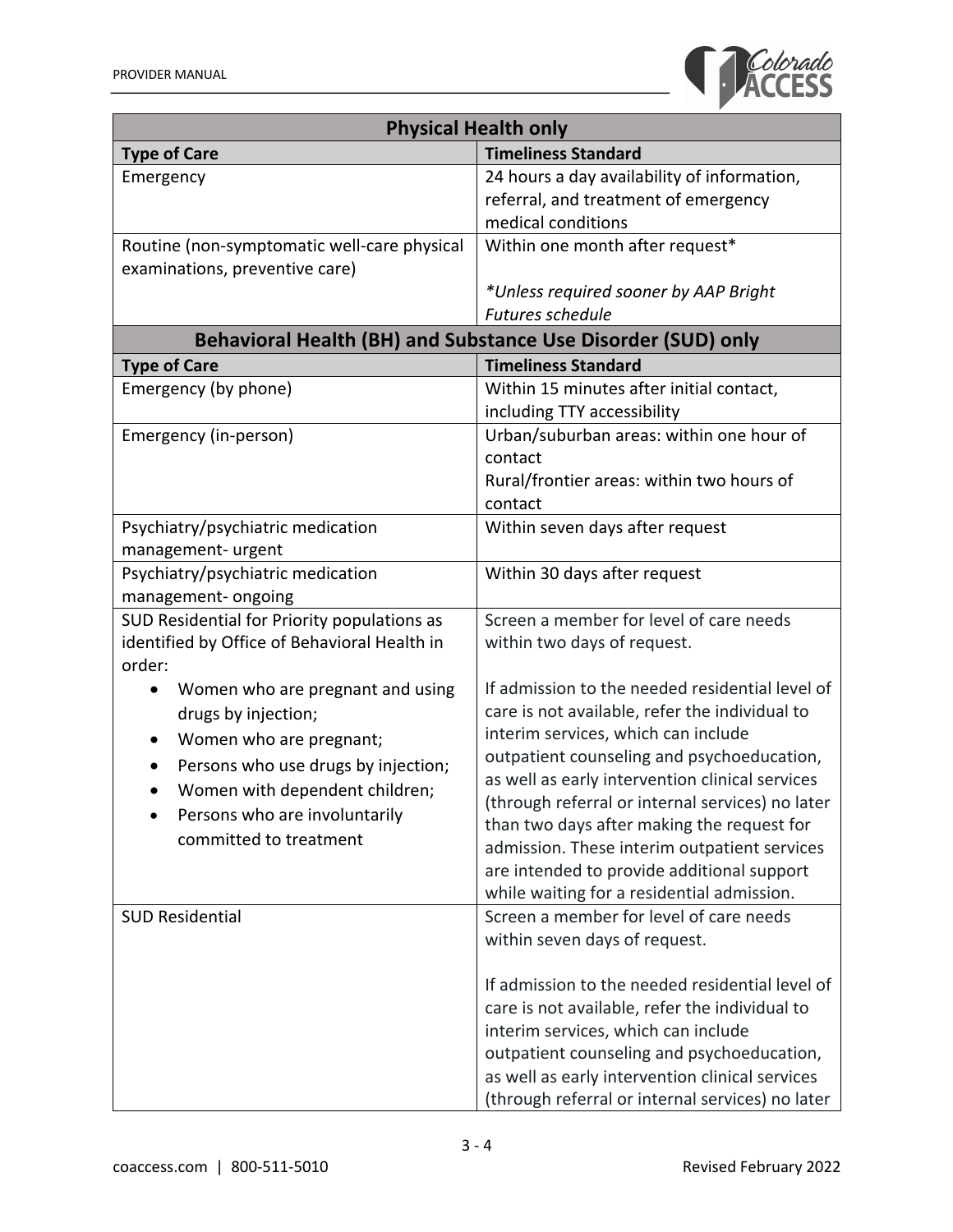

| <b>Physical Health only</b>                                       |                                                                                            |
|-------------------------------------------------------------------|--------------------------------------------------------------------------------------------|
| <b>Type of Care</b>                                               | <b>Timeliness Standard</b>                                                                 |
| Emergency                                                         | 24 hours a day availability of information,                                                |
|                                                                   | referral, and treatment of emergency                                                       |
|                                                                   | medical conditions                                                                         |
| Routine (non-symptomatic well-care physical                       | Within one month after request*                                                            |
| examinations, preventive care)                                    |                                                                                            |
|                                                                   | *Unless required sooner by AAP Bright<br><b>Futures schedule</b>                           |
|                                                                   | Behavioral Health (BH) and Substance Use Disorder (SUD) only                               |
| <b>Type of Care</b>                                               | <b>Timeliness Standard</b>                                                                 |
| Emergency (by phone)                                              | Within 15 minutes after initial contact,                                                   |
|                                                                   | including TTY accessibility                                                                |
| Emergency (in-person)                                             | Urban/suburban areas: within one hour of                                                   |
|                                                                   | contact                                                                                    |
|                                                                   | Rural/frontier areas: within two hours of                                                  |
|                                                                   | contact                                                                                    |
| Psychiatry/psychiatric medication                                 | Within seven days after request                                                            |
| management- urgent                                                |                                                                                            |
| Psychiatry/psychiatric medication                                 | Within 30 days after request                                                               |
| management-ongoing<br>SUD Residential for Priority populations as | Screen a member for level of care needs                                                    |
| identified by Office of Behavioral Health in                      | within two days of request.                                                                |
| order:                                                            |                                                                                            |
| Women who are pregnant and using                                  | If admission to the needed residential level of                                            |
| drugs by injection;                                               | care is not available, refer the individual to                                             |
| Women who are pregnant;                                           | interim services, which can include                                                        |
| Persons who use drugs by injection;<br>٠                          | outpatient counseling and psychoeducation,                                                 |
| Women with dependent children;<br>٠                               | as well as early intervention clinical services                                            |
| Persons who are involuntarily                                     | (through referral or internal services) no later                                           |
| committed to treatment                                            | than two days after making the request for                                                 |
|                                                                   | admission. These interim outpatient services<br>are intended to provide additional support |
|                                                                   | while waiting for a residential admission.                                                 |
| <b>SUD Residential</b>                                            | Screen a member for level of care needs                                                    |
|                                                                   | within seven days of request.                                                              |
|                                                                   |                                                                                            |
|                                                                   | If admission to the needed residential level of                                            |
|                                                                   | care is not available, refer the individual to                                             |
|                                                                   | interim services, which can include                                                        |
|                                                                   | outpatient counseling and psychoeducation,                                                 |
|                                                                   | as well as early intervention clinical services                                            |
|                                                                   | (through referral or internal services) no later                                           |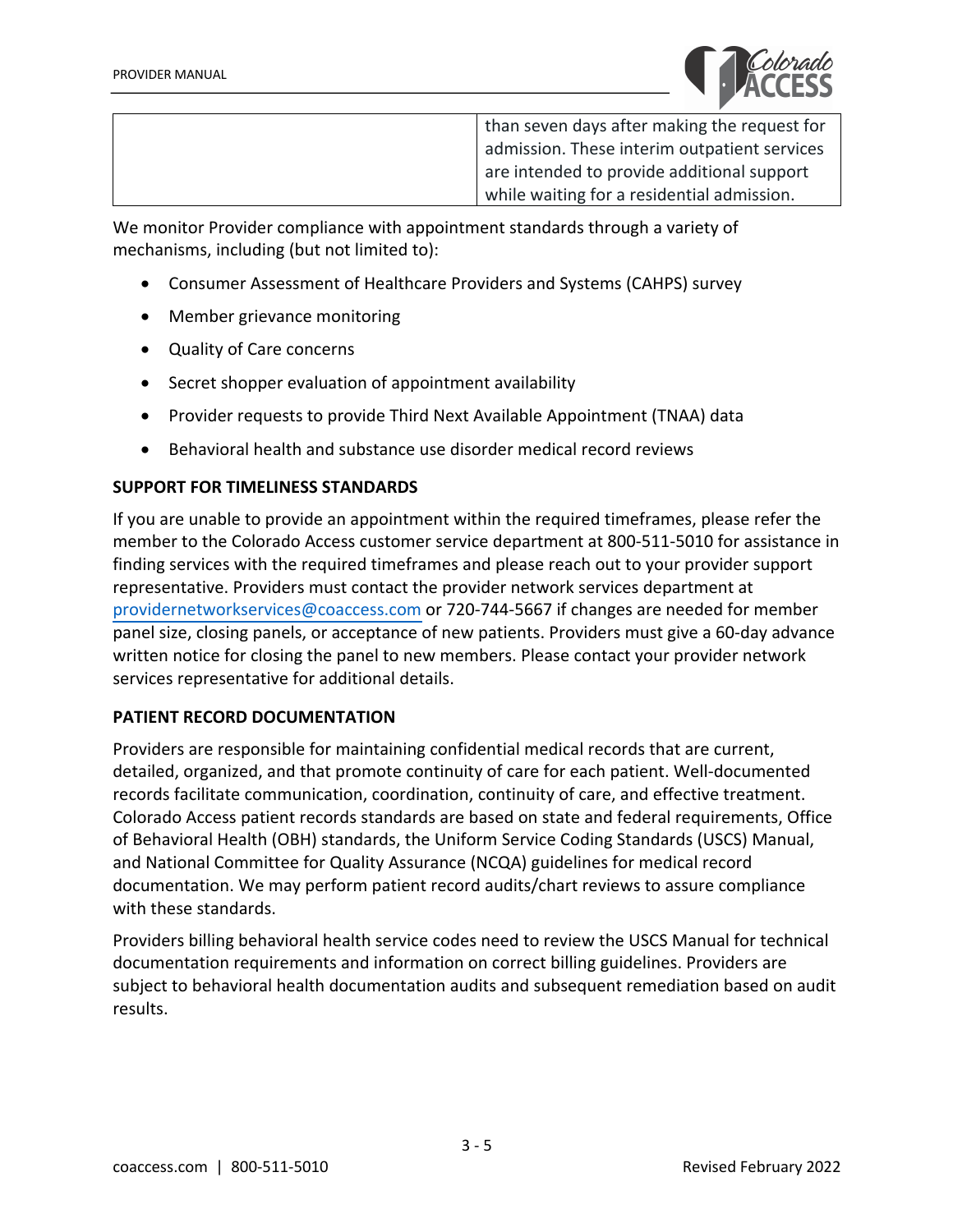

than seven days after making the request for admission. These interim outpatient services are intended to provide additional support while waiting for a residential admission.

We monitor Provider compliance with appointment standards through a variety of mechanisms, including (but not limited to):

- Consumer Assessment of Healthcare Providers and Systems (CAHPS) survey
- Member grievance monitoring
- Quality of Care concerns
- Secret shopper evaluation of appointment availability
- Provider requests to provide Third Next Available Appointment (TNAA) data
- Behavioral health and substance use disorder medical record reviews

#### **SUPPORT FOR TIMELINESS STANDARDS**

If you are unable to provide an appointment within the required timeframes, please refer the member to the Colorado Access customer service department at 800-511-5010 for assistance in finding services with the required timeframes and please reach out to your provider support representative. Providers must contact the provider network services department at providernetworkservices@coaccess.com or 720-744-5667 if changes are needed for member panel size, closing panels, or acceptance of new patients. Providers must give a 60-day advance written notice for closing the panel to new members. Please contact your provider network services representative for additional details.

#### **PATIENT RECORD DOCUMENTATION**

Providers are responsible for maintaining confidential medical records that are current, detailed, organized, and that promote continuity of care for each patient. Well-documented records facilitate communication, coordination, continuity of care, and effective treatment. Colorado Access patient records standards are based on state and federal requirements, Office of Behavioral Health (OBH) standards, the Uniform Service Coding Standards (USCS) Manual, and National Committee for Quality Assurance (NCQA) guidelines for medical record documentation. We may perform patient record audits/chart reviews to assure compliance with these standards.

Providers billing behavioral health service codes need to review the USCS Manual for technical documentation requirements and information on correct billing guidelines. Providers are subject to behavioral health documentation audits and subsequent remediation based on audit results.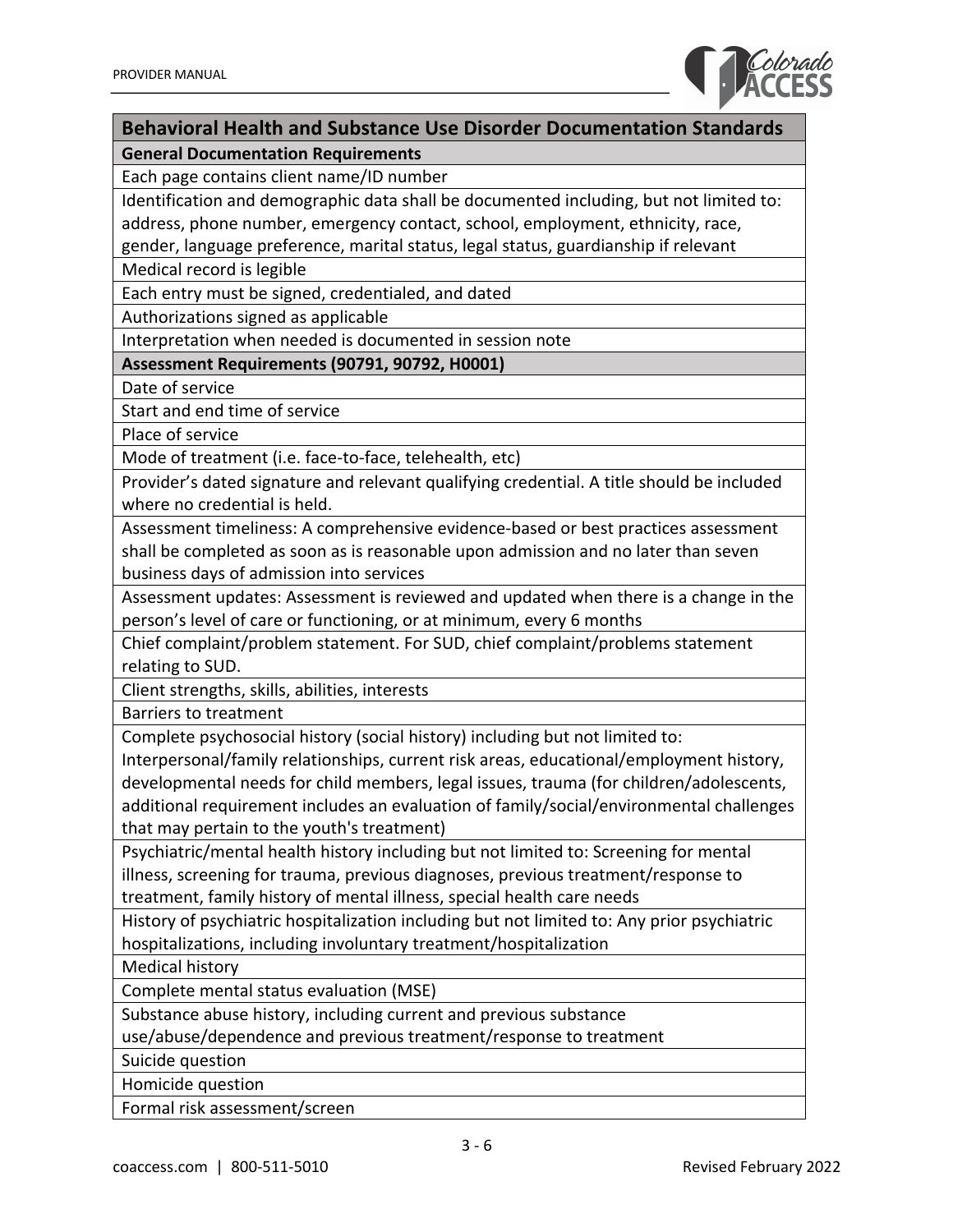

## **Behavioral Health and Substance Use Disorder Documentation Standards General Documentation Requirements**

Each page contains client name/ID number

Identification and demographic data shall be documented including, but not limited to: address, phone number, emergency contact, school, employment, ethnicity, race,

gender, language preference, marital status, legal status, guardianship if relevant

Medical record is legible

Each entry must be signed, credentialed, and dated

Authorizations signed as applicable

Interpretation when needed is documented in session note

**Assessment Requirements (90791, 90792, H0001)**

Date of service

Start and end time of service

Place of service

Mode of treatment (i.e. face-to-face, telehealth, etc)

Provider's dated signature and relevant qualifying credential. A title should be included where no credential is held.

Assessment timeliness: A comprehensive evidence-based or best practices assessment shall be completed as soon as is reasonable upon admission and no later than seven business days of admission into services

Assessment updates: Assessment is reviewed and updated when there is a change in the person's level of care or functioning, or at minimum, every 6 months

Chief complaint/problem statement. For SUD, chief complaint/problems statement relating to SUD.

Client strengths, skills, abilities, interests

Barriers to treatment

Complete psychosocial history (social history) including but not limited to:

Interpersonal/family relationships, current risk areas, educational/employment history, developmental needs for child members, legal issues, trauma (for children/adolescents, additional requirement includes an evaluation of family/social/environmental challenges that may pertain to the youth's treatment)

Psychiatric/mental health history including but not limited to: Screening for mental illness, screening for trauma, previous diagnoses, previous treatment/response to treatment, family history of mental illness, special health care needs

History of psychiatric hospitalization including but not limited to: Any prior psychiatric hospitalizations, including involuntary treatment/hospitalization

Medical history

Complete mental status evaluation (MSE)

Substance abuse history, including current and previous substance

use/abuse/dependence and previous treatment/response to treatment

Suicide question

Homicide question

Formal risk assessment/screen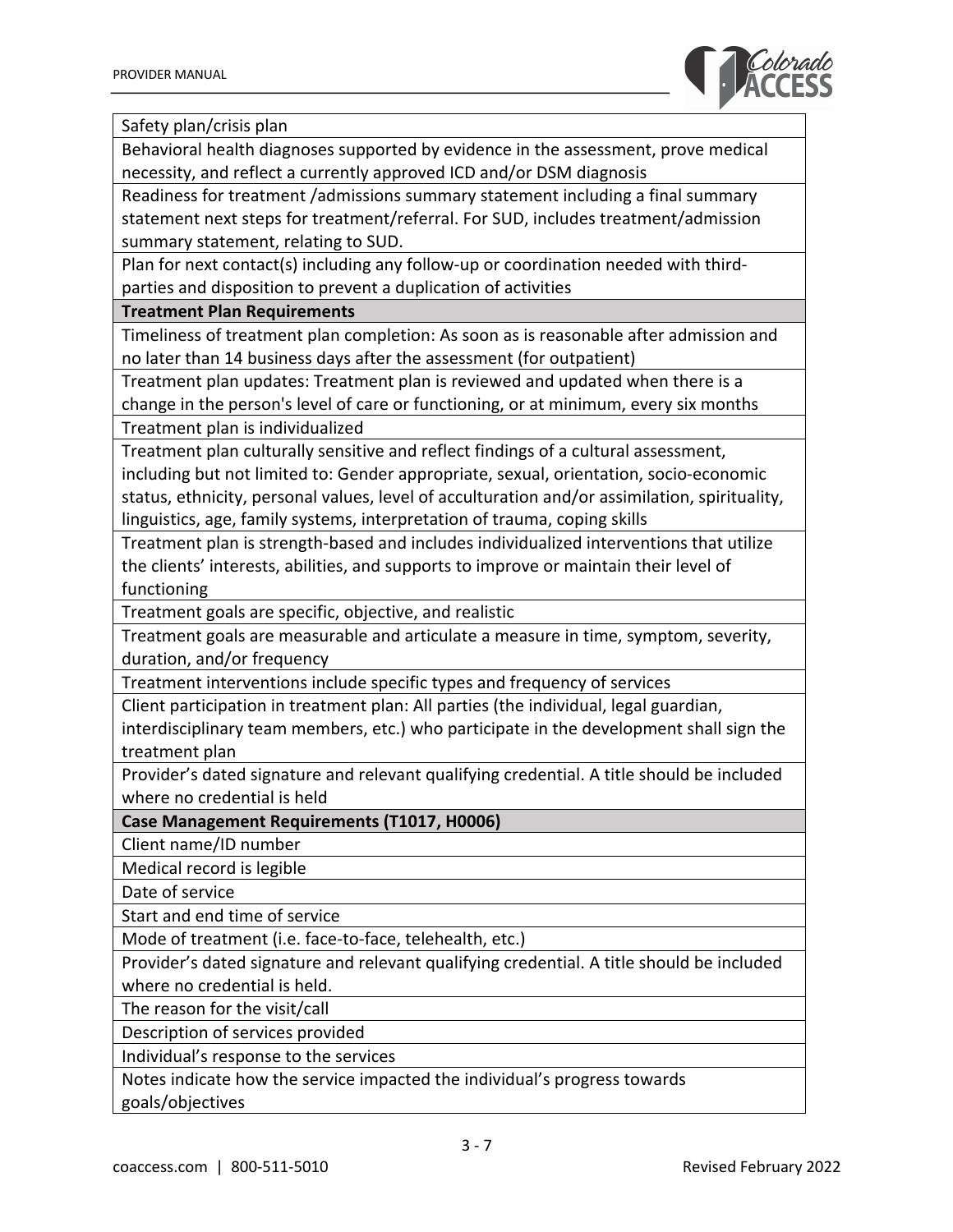

Safety plan/crisis plan

Behavioral health diagnoses supported by evidence in the assessment, prove medical necessity, and reflect a currently approved ICD and/or DSM diagnosis

Readiness for treatment /admissions summary statement including a final summary statement next steps for treatment/referral. For SUD, includes treatment/admission summary statement, relating to SUD.

Plan for next contact(s) including any follow-up or coordination needed with thirdparties and disposition to prevent a duplication of activities

#### **Treatment Plan Requirements**

Timeliness of treatment plan completion: As soon as is reasonable after admission and no later than 14 business days after the assessment (for outpatient)

Treatment plan updates: Treatment plan is reviewed and updated when there is a change in the person's level of care or functioning, or at minimum, every six months

Treatment plan is individualized

Treatment plan culturally sensitive and reflect findings of a cultural assessment, including but not limited to: Gender appropriate, sexual, orientation, socio-economic status, ethnicity, personal values, level of acculturation and/or assimilation, spirituality, linguistics, age, family systems, interpretation of trauma, coping skills

Treatment plan is strength-based and includes individualized interventions that utilize the clients' interests, abilities, and supports to improve or maintain their level of functioning

Treatment goals are specific, objective, and realistic

Treatment goals are measurable and articulate a measure in time, symptom, severity, duration, and/or frequency

Treatment interventions include specific types and frequency of services

Client participation in treatment plan: All parties (the individual, legal guardian,

interdisciplinary team members, etc.) who participate in the development shall sign the treatment plan

Provider's dated signature and relevant qualifying credential. A title should be included where no credential is held

**Case Management Requirements (T1017, H0006)**

Client name/ID number

Medical record is legible

Date of service

Start and end time of service

Mode of treatment (i.e. face-to-face, telehealth, etc.)

Provider's dated signature and relevant qualifying credential. A title should be included where no credential is held.

The reason for the visit/call

Description of services provided

Individual's response to the services

Notes indicate how the service impacted the individual's progress towards goals/objectives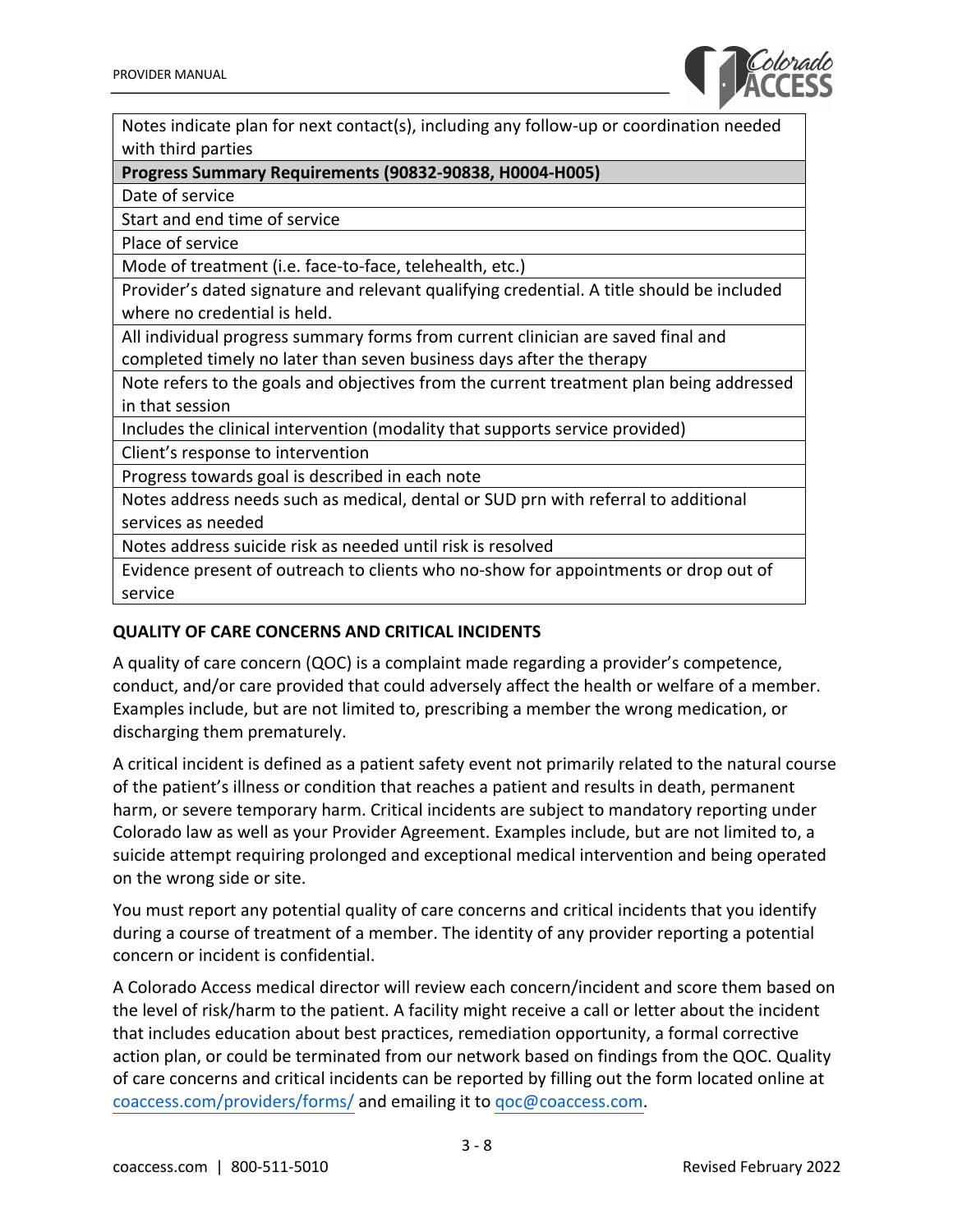

Notes indicate plan for next contact(s), including any follow-up or coordination needed with third parties

#### **Progress Summary Requirements (90832-90838, H0004-H005)**

Date of service

Start and end time of service

Place of service

Mode of treatment (i.e. face-to-face, telehealth, etc.)

Provider's dated signature and relevant qualifying credential. A title should be included where no credential is held.

All individual progress summary forms from current clinician are saved final and completed timely no later than seven business days after the therapy

Note refers to the goals and objectives from the current treatment plan being addressed in that session

Includes the clinical intervention (modality that supports service provided)

Client's response to intervention

Progress towards goal is described in each note

Notes address needs such as medical, dental or SUD prn with referral to additional services as needed

Notes address suicide risk as needed until risk is resolved

Evidence present of outreach to clients who no-show for appointments or drop out of service

#### **QUALITY OF CARE CONCERNS AND CRITICAL INCIDENTS**

A quality of care concern (QOC) is a complaint made regarding a provider's competence, conduct, and/or care provided that could adversely affect the health or welfare of a member. Examples include, but are not limited to, prescribing a member the wrong medication, or discharging them prematurely.

A critical incident is defined as a patient safety event not primarily related to the natural course of the patient's illness or condition that reaches a patient and results in death, permanent harm, or severe temporary harm. Critical incidents are subject to mandatory reporting under Colorado law as well as your Provider Agreement. Examples include, but are not limited to, a suicide attempt requiring prolonged and exceptional medical intervention and being operated on the wrong side or site.

You must report any potential quality of care concerns and critical incidents that you identify during a course of treatment of a member. The identity of any provider reporting a potential concern or incident is confidential.

A Colorado Access medical director will review each concern/incident and score them based on the level of risk/harm to the patient. A facility might receive a call or letter about the incident that includes education about best practices, remediation opportunity, a formal corrective action plan, or could be terminated from our network based on findings from the QOC. Quality of care concerns and critical incidents can be reported by filling out the form located online at [coaccess.com/providers/forms/](https://www.coaccess.com/providers/forms/) and emailing it to qoc@coaccess.com.